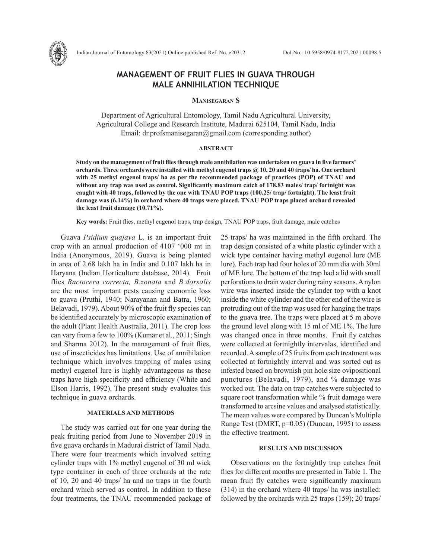

# **MANAGEMENT OF FRUIT FLIES IN GUAVA THROUGH MALE ANNIHILATION TECHNIQUE**

## **Manisegaran S**

Department of Agricultural Entomology, Tamil Nadu Agricultural University, Agricultural College and Research Institute, Madurai 625104, Tamil Nadu, India Email: dr.profsmanisegaran@gmail.com (corresponding author)

### **ABSTRACT**

**Study on the management of fruit flies through male annihilation was undertaken on guava in five farmers' orchards. Three orchards were installed with methyl eugenol traps @ 10, 20 and 40 traps/ ha. One orchard with 25 methyl eugenol traps/ ha as per the recommended package of practices (POP) of TNAU and without any trap was used as control. Significantly maximum catch of 178.83 males/ trap/ fortnight was caught with 40 traps, followed by the one with TNAU POP traps (100.25/ trap/ fortnight). The least fruit damage was (6.14%) in orchard where 40 traps were placed. TNAU POP traps placed orchard revealed the least fruit damage (10.71%).** 

**Key words:** Fruit flies, methyl eugenol traps, trap design, TNAU POP traps, fruit damage, male catches

Guava *Psidium guajava* L. is an important fruit crop with an annual production of 4107 '000 mt in India (Anonymous, 2019). Guava is being planted in area of 2.68 lakh ha in India and 0.107 lakh ha in Haryana (Indian Horticulture database, 2014). Fruit flies *Bactocera correcta, B.zonata* and *B.dorsalis* are the most important pests causing economic loss to guava (Pruthi, 1940; Narayanan and Batra, 1960; Belavadi, 1979). About 90% of the fruit fly species can be identified accurately by microscopic examination of the adult (Plant Health Australia, 2011). The crop loss can vary from a few to 100% (Kumar et al., 2011; Singh and Sharma 2012). In the management of fruit flies, use of insecticides has limitations. Use of annihilation technique which involves trapping of males using methyl eugenol lure is highly advantageous as these traps have high specificity and efficiency (White and Elson Harris, 1992). The present study evaluates this technique in guava orchards.

## **MATERIALS AND METHODS**

The study was carried out for one year during the peak fruiting period from June to November 2019 in five guava orchards in Madurai district of Tamil Nadu. There were four treatments which involved setting cylinder traps with 1% methyl eugenol of 30 ml wick type container in each of three orchards at the rate of 10, 20 and 40 traps/ ha and no traps in the fourth orchard which served as control. In addition to these four treatments, the TNAU recommended package of 25 traps/ ha was maintained in the fifth orchard. The trap design consisted of a white plastic cylinder with a wick type container having methyl eugenol lure (ME lure). Each trap had four holes of 20 mm dia with 30ml of ME lure. The bottom of the trap had a lid with small perforations to drain water during rainy seasons. A nylon wire was inserted inside the cylinder top with a knot inside the white cylinder and the other end of the wire is protruding out of the trap was used for hanging the traps to the guava tree. The traps were placed at 5 m above the ground level along with 15 ml of ME 1%. The lure was changed once in three months. Fruit fly catches were collected at fortnightly intervalas, identified and recorded. A sample of 25 fruits from each treatment was collected at fortnightly interval and was sorted out as infested based on brownish pin hole size ovipositional punctures (Belavadi, 1979), and % damage was worked out. The data on trap catches were subjected to square root transformation while % fruit damage were transformed to arcsine values and analysed statistically. The mean values were compared by Duncan's Multiple Range Test (DMRT, p=0.05) (Duncan, 1995) to assess the effective treatment.

#### **RESULTS AND DISCUSSION**

Observations on the fortnightly trap catches fruit flies for different months are presented in Table 1. The mean fruit fly catches were significantly maximum (314) in the orchard where 40 traps/ ha was installed: followed by the orchards with 25 traps (159); 20 traps/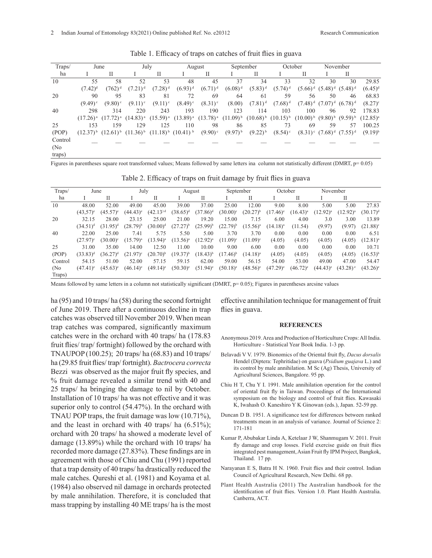| Traps/  | June                  |                                     | July          |                       | August                      |                                                             | September    |              | October               |                                   | November              |                                  |               |
|---------|-----------------------|-------------------------------------|---------------|-----------------------|-----------------------------|-------------------------------------------------------------|--------------|--------------|-----------------------|-----------------------------------|-----------------------|----------------------------------|---------------|
| ha      |                       |                                     |               |                       |                             | П                                                           |              | П            |                       | Н                                 |                       | Н                                |               |
| 10      | 55                    | 58                                  | 52            | 53                    | 48                          | 45                                                          | 37           | 34           | 33                    | 32                                | 30                    | 30                               | 29.85         |
|         | $(7.42)^d$            | $(762)^d$                           | $(7.21)^d$    | $(7.28)$ <sup>d</sup> | $(6.93)^{d}$                | $(6.71)^d$                                                  | $(6.08)^d$   | $(5.83)^d$   | $(5.74)^d$            |                                   | $(5.66)^d$ $(5.48)^d$ | $(5.48)^d$                       | $(6.45)^d$    |
| 20      | 90                    | 95                                  | 83            | 81                    | 72                          | 69                                                          | 64           | -61          | 59                    | 56                                | 50                    | 46                               | 68.83         |
|         | $(9.49)$ <sup>c</sup> | $(9.80)$ <sup>c</sup>               | $(9.11)$ °    | $(9.11)^{\circ}$      | $(8.49)$ °                  | $(8.31)^c$                                                  | (8.00)       | $(7.81)^d$   | $(7.68)^d$            |                                   | $(7.48)^d$ $(7.07)^d$ | $(6.78)^d$                       | $(8.27)^c$    |
| 40      | 298                   | 314                                 | 220           | 243                   | 193                         | 190                                                         | 123          | 114          | 103                   | 100                               | 96                    | 92                               | 178.83        |
|         |                       | $(17.26)^a$ $(17.72)^a$ $(14.83)^a$ |               | $(15.59)^{a}$         |                             | $(13.89)^a$ $(13.78)^a$ $(11.09)^b$ $(10.68)^b$ $(10.15)^b$ |              |              |                       | $(10.00)^b$ $(9.80)^b$ $(9.59)^b$ |                       |                                  | $(12.85)^{a}$ |
| 25      | 153                   | 159                                 | 129           | 125                   | 110                         | 98                                                          | 86           | 85           | 73                    | 69                                | 59                    | 57                               | 100.25        |
| (POP)   |                       | $(12.37)^{b}$ $(12.61)^{b}$         | $(11.36)^{b}$ |                       | $(11.18)^{b}$ $(10.41)^{b}$ | $(9.90)$ <sup>c</sup>                                       | $(9.97)^{b}$ | $(9.22)^{b}$ | $(8.54)$ <sup>c</sup> |                                   |                       | $(8.31)^c$ $(7.68)^d$ $(7.55)^d$ | $(9.19)^{b}$  |
| Control |                       |                                     |               |                       |                             |                                                             |              |              |                       |                                   |                       |                                  |               |
| (No)    |                       |                                     |               |                       |                             |                                                             |              |              |                       |                                   |                       |                                  |               |
| traps)  |                       |                                     |               |                       |                             |                                                             |              |              |                       |                                   |                       |                                  |               |

Table 1. Efficacy of traps on catches of fruit flies in guava

Figures in parentheses square root transformed values; Means followed by same letters ina column not statistically different (DMRT, p= 0.05)

|  |  | Table 2. Efficacy of traps on fruit damage by fruit flies in guava |  |  |
|--|--|--------------------------------------------------------------------|--|--|
|  |  |                                                                    |  |  |
|  |  |                                                                    |  |  |

| Traps/  | June              |             | July          |                        | August        |               | September         |               | October                |               | November    |                        |                        |
|---------|-------------------|-------------|---------------|------------------------|---------------|---------------|-------------------|---------------|------------------------|---------------|-------------|------------------------|------------------------|
| ha      |                   | П           |               |                        |               | П             |                   | П             |                        | П             |             | П                      |                        |
| 10      | 48.00             | 52.00       | 49.00         | 45.00                  | 39.00         | 37.00         | 25.00             | 12.00         | 9.00                   | 8.00          | 5.00        | 5.00                   | 27.83                  |
|         | $(43,57)^e$       | $(45.57)^e$ | $(44.43)^e$   | $(42.13)$ <sup>d</sup> | $(38.65)^d$   | $(37.86)^d$   | $(30.00)^{\circ}$ | $(20.27)^{b}$ | $(17.46)$ <sup>e</sup> | $(16.43)^{a}$ | $(12.92)^a$ | $(12.92)^{a}$          | $(30.17)^d$            |
| 20      | 32.15             | 28.00       | 23.15         | 25.00                  | 21.00         | 19.20         | 15.00             | 7.15          | 6.00                   | 4.00          | 3.0         | 3.00                   | 13.89                  |
|         | $(34.51)^d$       | $(31.95)^d$ | $(28.79)^{b}$ | $(30.00)^d$            | $(27.27)^{b}$ | $(25.99)^{b}$ | $(22.79)^{b}$     | $(15.56)^{a}$ | $(14.18)^{a}$          | (11.54)       | (9.97)      | (9.97)                 | $(21.88)^{\circ}$      |
| 40      | 22.00             | 25.00       | 7.41          | 5.75                   | 5.50          | 5.00          | 3.70              | 3.70          | 0.00                   | 0.00          | 0.00        | 0.00                   | 6.51                   |
|         | $(27.97)^{\circ}$ | $(30.00)^c$ | $(15.79)^{a}$ | $(13.94)^{a}$          | $(13.56)^{a}$ | $(12.92)^{a}$ | $(11.09)^c$       | $(11.09)^c$   | (4.05)                 | (4.05)        | (4.05)      | (4.05)                 | $(12.81)^{a}$          |
| 25      | 31.00             | 35.00       | 14.00         | 12.50                  | 11.00         | 10.00         | 9.00              | 6.00          | 0.00                   | 0.00          | 0.00        | 0.00                   | 10.71                  |
| (POP)   | $(33.83)^d$       | $(36.27)^d$ | $(21.97)^c$   | $(20.70)^{b}$          | $(19.37)^{b}$ | $(18.43)^{b}$ | $(17.46)^{b}$     | $(14.18)^{a}$ | (4.05)                 | (4.05)        | (4.05)      | (4.05)                 | $(16.53)^{b}$          |
| Control | 54.15             | 51.00       | 52.00         | 57.15                  | 59.15         | 62.00         | 59.00             | 56.15         | 54.00                  | 53.00         | 49.00       | 47.00                  | 54.47                  |
| (No     | $(47.41)^e$       | $(45.63)^e$ | $(46.14)^e$   | $(49.14)$ <sup>e</sup> | $(50.30)^e$   | $(51.94)^e$   | $(50.18)^e$       | $(48.56)^e$   | $(47.29)^e$            | $(46.72)^e$   | $(44.43)^e$ | $(43.28)$ <sup>e</sup> | $(43.26)$ <sup>e</sup> |
| Traps)  |                   |             |               |                        |               |               |                   |               |                        |               |             |                        |                        |

Means followed by same letters in a column not statistically significant (DMRT, p= 0.05); Figures in parentheses arcsine values

ha (95) and 10 traps/ ha (58) during the second fortnight of June 2019. There after a continuous decline in trap catches was observed till November 2019. When mean trap catches was compared, significantly maximum catches were in the orchard with 40 traps/ ha (178.83 fruit flies/ trap/ fortnight) followed by the orchard with TNAUPOP (100.25); 20 traps/ ha (68.83) and 10 traps/ ha (29.85 fruit flies/ trap/ fortnight). *Bactrocera correcta*  Bezzi was observed as the major fruit fly species, and % fruit damage revealed a similar trend with 40 and 25 traps/ ha bringing the damage to nil by October. Installation of 10 traps/ ha was not effective and it was superior only to control  $(54.47%)$ . In the orchard with TNAU POP traps, the fruit damage was low (10.71%), and the least in orchard with 40 traps/ ha (6.51%); orchard with 20 traps/ ha showed a moderate level of damage (13.89%) while the orchard with 10 traps/ ha recorded more damage (27.83%). These findings are in agreement with those of Chiu and Chu (1991) reported that a trap density of 40 traps/ ha drastically reduced the male catches. Qureshi et al. (1981) and Koyama et al*.* (1984) also observed nil damage in orchards protected by male annihilation. Therefore, it is concluded that mass trapping by installing 40 ME traps/ ha is the most effective annihilation technique for management of fruit flies in guava.

#### **REFERENCES**

- Anonymous 2019. Area and Production of Horticulture Crops: All India. Horticulture - Statistical Year Book India. 1-3 pp.
- Belavadi V V. 1979. Bionomics of the Oriental fruit fly, *Dacus dorsalis* Hendel (Diptera: Tephritidae) on guava (*Psidium guajava* L.) and its control by male annihilation. M Sc (Ag) Thesis, University of Agricultural Sciences, Bangalore. 95 pp.
- Chiu H T, Chu Y I. 1991. Male annihilation operation for the control of oriental fruit fly in Taiwan. Proceedings of the International symposium on the biology and control of fruit flies. Kawasaki K, Iwahash O. Kaneshiro Y K Ginowan (eds.), Japan. 52-59 pp.
- Duncan D B. 1951. A significance test for differences between ranked treatments mean in an analysis of variance. Journal of Science 2: 171-181
- Kumar P, Abubakar Linda A, Ketelaar J W, Shanmugam V. 2011. Fruit fly damage and crop losses. Field exercise guide on fruit flies integrated pest management, Asian Fruit fly IPM Project, Bangkok, Thailand. 17 pp.
- Narayanan E S, Batra H N. 1960. Fruit flies and their control. Indian Council of Agricultural Research, New Delhi. 68 pp.
- Plant Health Australia (2011) The Australian handbook for the identification of fruit flies. Version 1.0. Plant Health Australia. Canberra, ACT.